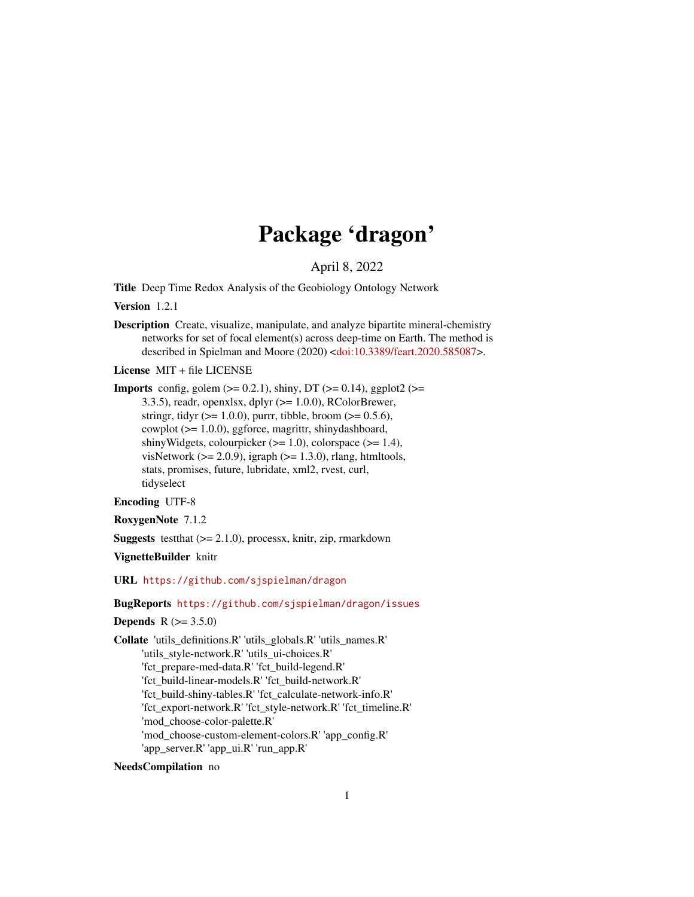## Package 'dragon'

April 8, 2022

Title Deep Time Redox Analysis of the Geobiology Ontology Network

Version 1.2.1

Description Create, visualize, manipulate, and analyze bipartite mineral-chemistry networks for set of focal element(s) across deep-time on Earth. The method is described in Spielman and Moore (2020) [<doi:10.3389/feart.2020.585087>](https://doi.org/10.3389/feart.2020.585087).

License MIT + file LICENSE

**Imports** config, golem  $(>= 0.2.1)$ , shiny, DT  $(>= 0.14)$ , ggplot2  $(>=$ 3.3.5), readr, openxlsx, dplyr  $(>= 1.0.0)$ , RColorBrewer, stringr, tidyr ( $>= 1.0.0$ ), purrr, tibble, broom ( $>= 0.5.6$ ), cowplot (>= 1.0.0), ggforce, magrittr, shinydashboard, shinyWidgets, colourpicker  $(>= 1.0)$ , colorspace  $(>= 1.4)$ , visNetwork ( $>= 2.0.9$ ), igraph ( $>= 1.3.0$ ), rlang, htmltools, stats, promises, future, lubridate, xml2, rvest, curl, tidyselect

Encoding UTF-8

RoxygenNote 7.1.2

**Suggests** test that  $(>= 2.1.0)$ , process x, knitr, zip, rmarkdown

VignetteBuilder knitr

URL <https://github.com/sjspielman/dragon>

BugReports <https://github.com/sjspielman/dragon/issues>

**Depends**  $R (= 3.5.0)$ 

Collate 'utils\_definitions.R' 'utils\_globals.R' 'utils\_names.R' 'utils\_style-network.R' 'utils\_ui-choices.R' 'fct\_prepare-med-data.R' 'fct\_build-legend.R' 'fct\_build-linear-models.R' 'fct\_build-network.R' 'fct\_build-shiny-tables.R' 'fct\_calculate-network-info.R' 'fct\_export-network.R' 'fct\_style-network.R' 'fct\_timeline.R' 'mod\_choose-color-palette.R' 'mod\_choose-custom-element-colors.R' 'app\_config.R' 'app\_server.R' 'app\_ui.R' 'run\_app.R'

NeedsCompilation no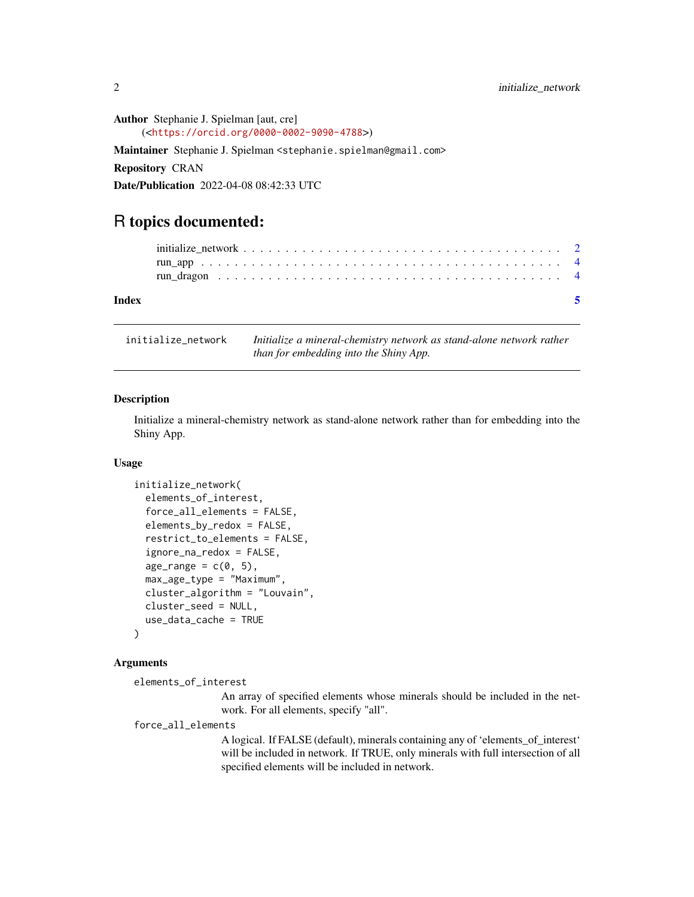<span id="page-1-0"></span>Author Stephanie J. Spielman [aut, cre] (<<https://orcid.org/0000-0002-9090-4788>>) Maintainer Stephanie J. Spielman <stephanie.spielman@gmail.com> Repository CRAN Date/Publication 2022-04-08 08:42:33 UTC

### R topics documented:

| Index | - 5 |
|-------|-----|
|       |     |
|       |     |
|       |     |
|       |     |

initialize\_network *Initialize a mineral-chemistry network as stand-alone network rather than for embedding into the Shiny App.*

#### Description

Initialize a mineral-chemistry network as stand-alone network rather than for embedding into the Shiny App.

#### Usage

```
initialize_network(
  elements_of_interest,
  force_all_elements = FALSE,
  elements_by_redox = FALSE,
  restrict_to_elements = FALSE,
  ignore_na_redox = FALSE,
  age_range = c(0, 5),
 max_age_type = "Maximum",
  cluster_algorithm = "Louvain",
  cluster_seed = NULL,
  use_data_cache = TRUE
)
```
#### Arguments

elements\_of\_interest

An array of specified elements whose minerals should be included in the network. For all elements, specify "all".

#### force\_all\_elements

A logical. If FALSE (default), minerals containing any of 'elements\_of\_interest' will be included in network. If TRUE, only minerals with full intersection of all specified elements will be included in network.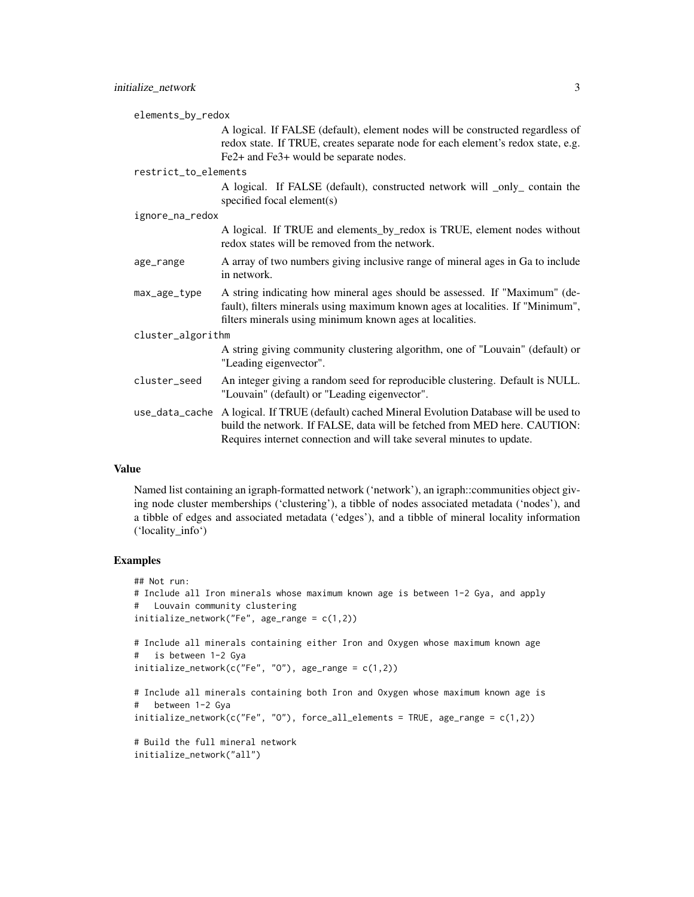|                   | elements_by_redox    |                                                                                                                                                                                                                                      |  |
|-------------------|----------------------|--------------------------------------------------------------------------------------------------------------------------------------------------------------------------------------------------------------------------------------|--|
|                   |                      | A logical. If FALSE (default), element nodes will be constructed regardless of<br>redox state. If TRUE, creates separate node for each element's redox state, e.g.<br>Fe2+ and Fe3+ would be separate nodes.                         |  |
|                   | restrict_to_elements |                                                                                                                                                                                                                                      |  |
|                   |                      | A logical. If FALSE (default), constructed network will _only_ contain the<br>specified focal element(s)                                                                                                                             |  |
| ignore_na_redox   |                      |                                                                                                                                                                                                                                      |  |
|                   |                      | A logical. If TRUE and elements_by_redox is TRUE, element nodes without<br>redox states will be removed from the network.                                                                                                            |  |
|                   | age_range            | A array of two numbers giving inclusive range of mineral ages in Ga to include<br>in network.                                                                                                                                        |  |
|                   | max_age_type         | A string indicating how mineral ages should be assessed. If "Maximum" (de-<br>fault), filters minerals using maximum known ages at localities. If "Minimum",<br>filters minerals using minimum known ages at localities.             |  |
| cluster_algorithm |                      |                                                                                                                                                                                                                                      |  |
|                   |                      | A string giving community clustering algorithm, one of "Louvain" (default) or<br>"Leading eigenvector".                                                                                                                              |  |
|                   | cluster_seed         | An integer giving a random seed for reproducible clustering. Default is NULL.<br>"Louvain" (default) or "Leading eigenvector".                                                                                                       |  |
|                   | use_data_cache       | A logical. If TRUE (default) cached Mineral Evolution Database will be used to<br>build the network. If FALSE, data will be fetched from MED here. CAUTION:<br>Requires internet connection and will take several minutes to update. |  |
|                   |                      |                                                                                                                                                                                                                                      |  |

#### Value

Named list containing an igraph-formatted network ('network'), an igraph::communities object giving node cluster memberships ('clustering'), a tibble of nodes associated metadata ('nodes'), and a tibble of edges and associated metadata ('edges'), and a tibble of mineral locality information ('locality\_info')

#### Examples

```
## Not run:
# Include all Iron minerals whose maximum known age is between 1-2 Gya, and apply
# Louvain community clustering
initialize_network("Fe", age_range = c(1,2))
# Include all minerals containing either Iron and Oxygen whose maximum known age
# is between 1-2 Gya
initialize\_network(c("Fe", "0"), age\_range = c(1,2))# Include all minerals containing both Iron and Oxygen whose maximum known age is
# between 1-2 Gya
initialize_network(c("Fe", "O"), force_all_elements = TRUE, age_range = c(1,2))
# Build the full mineral network
initialize_network("all")
```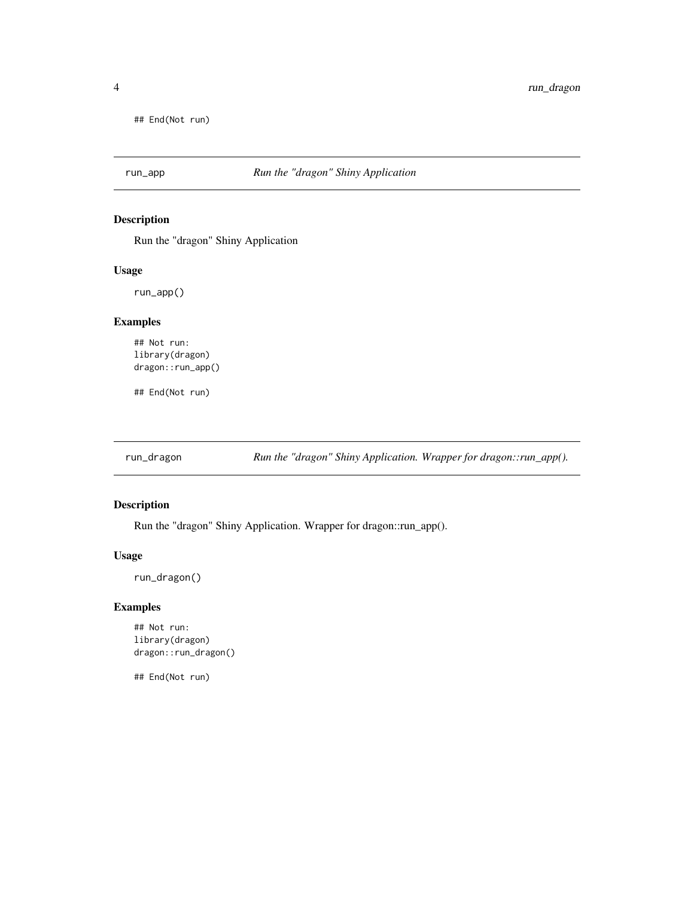<span id="page-3-0"></span>## End(Not run)

#### Description

Run the "dragon" Shiny Application

#### Usage

run\_app()

#### Examples

## Not run: library(dragon) dragon::run\_app()

## End(Not run)

run\_dragon *Run the "dragon" Shiny Application. Wrapper for dragon::run\_app().*

#### Description

Run the "dragon" Shiny Application. Wrapper for dragon::run\_app().

#### Usage

run\_dragon()

#### Examples

## Not run: library(dragon) dragon::run\_dragon()

## End(Not run)